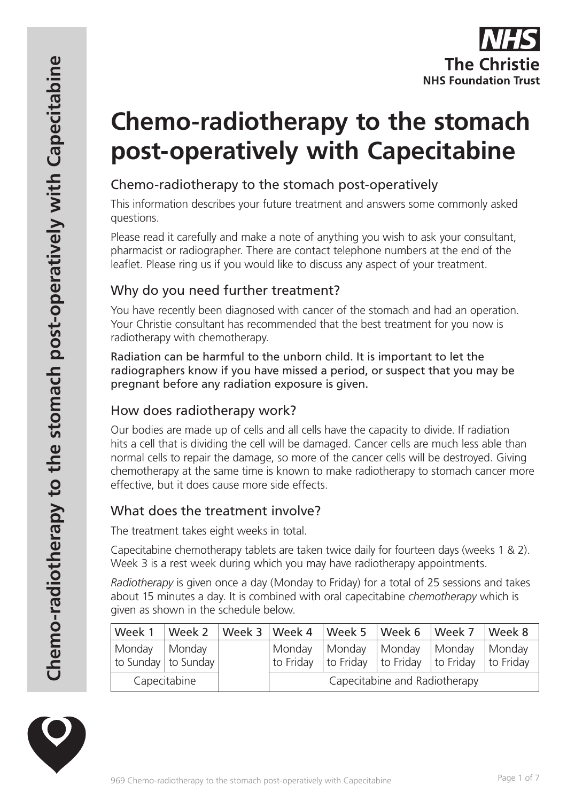

# **Chemo-radiotherapy to the stomach post-operatively with Capecitabine**

# Chemo-radiotherapy to the stomach post-operatively

This information describes your future treatment and answers some commonly asked questions.

Please read it carefully and make a note of anything you wish to ask your consultant, pharmacist or radiographer. There are contact telephone numbers at the end of the leaflet. Please ring us if you would like to discuss any aspect of your treatment.

# Why do you need further treatment?

You have recently been diagnosed with cancer of the stomach and had an operation. Your Christie consultant has recommended that the best treatment for you now is radiotherapy with chemotherapy.

Radiation can be harmful to the unborn child. It is important to let the radiographers know if you have missed a period, or suspect that you may be pregnant before any radiation exposure is given.

# How does radiotherapy work?

Our bodies are made up of cells and all cells have the capacity to divide. If radiation hits a cell that is dividing the cell will be damaged. Cancer cells are much less able than normal cells to repair the damage, so more of the cancer cells will be destroyed. Giving chemotherapy at the same time is known to make radiotherapy to stomach cancer more effective, but it does cause more side effects.

# What does the treatment involve?

The treatment takes eight weeks in total.

Capecitabine chemotherapy tablets are taken twice daily for fourteen days (weeks 1 & 2). Week 3 is a rest week during which you may have radiotherapy appointments.

*Radiotherapy* is given once a day (Monday to Friday) for a total of 25 sessions and takes about 15 minutes a day. It is combined with oral capecitabine *chemotherapy* which is given as shown in the schedule below.

| Week 1       | Week 2                | Week $3 \mid$ Week 4 |                               | $\sqrt{\frac{1}{1}}$ Week 5 | Week 6          | $\vert$ Week 7                                                          | $\sqrt{\frac{1}{1}}$ Week 8 |
|--------------|-----------------------|----------------------|-------------------------------|-----------------------------|-----------------|-------------------------------------------------------------------------|-----------------------------|
| Monday       | Monday                |                      | Monday                        | Monday                      | Monday   Monday |                                                                         | Monday                      |
|              | to Sunday   to Sunday |                      | to Friday                     |                             |                 | $\vert$ to Friday $\vert$ to Friday $\vert$ to Friday $\vert$ to Friday |                             |
| Capecitabine |                       |                      | Capecitabine and Radiotherapy |                             |                 |                                                                         |                             |

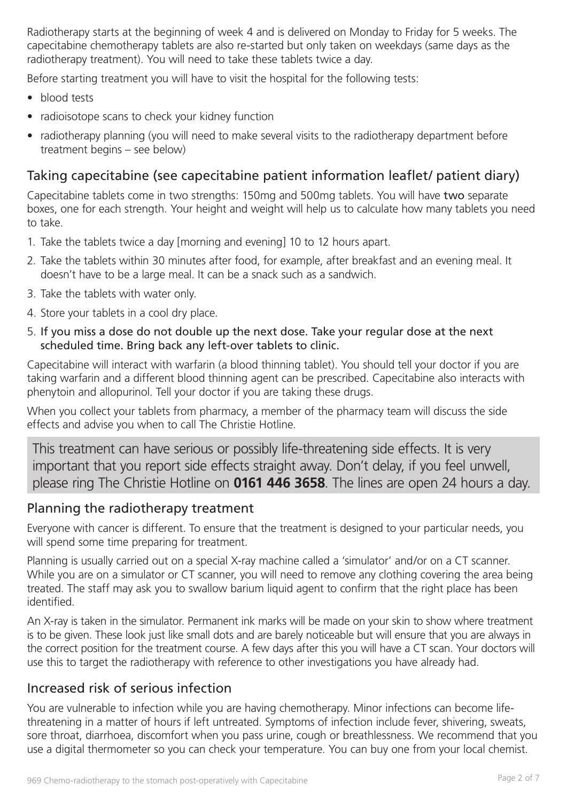Radiotherapy starts at the beginning of week 4 and is delivered on Monday to Friday for 5 weeks. The capecitabine chemotherapy tablets are also re-started but only taken on weekdays (same days as the radiotherapy treatment). You will need to take these tablets twice a day.

Before starting treatment you will have to visit the hospital for the following tests:

- blood tests
- radioisotope scans to check your kidney function
- radiotherapy planning (you will need to make several visits to the radiotherapy department before treatment begins – see below)

# Taking capecitabine (see capecitabine patient information leaflet/ patient diary)

Capecitabine tablets come in two strengths: 150mg and 500mg tablets. You will have two separate boxes, one for each strength. Your height and weight will help us to calculate how many tablets you need to take.

- 1. Take the tablets twice a day [morning and evening] 10 to 12 hours apart.
- 2. Take the tablets within 30 minutes after food, for example, after breakfast and an evening meal. It doesn't have to be a large meal. It can be a snack such as a sandwich.
- 3. Take the tablets with water only.
- 4. Store your tablets in a cool dry place.
- 5. If you miss a dose do not double up the next dose. Take your regular dose at the next scheduled time. Bring back any left-over tablets to clinic.

Capecitabine will interact with warfarin (a blood thinning tablet). You should tell your doctor if you are taking warfarin and a different blood thinning agent can be prescribed. Capecitabine also interacts with phenytoin and allopurinol. Tell your doctor if you are taking these drugs.

When you collect your tablets from pharmacy, a member of the pharmacy team will discuss the side effects and advise you when to call The Christie Hotline.

This treatment can have serious or possibly life-threatening side effects. It is very important that you report side effects straight away. Don't delay, if you feel unwell, please ring The Christie Hotline on **0161 446 3658**. The lines are open 24 hours a day.

# Planning the radiotherapy treatment

Everyone with cancer is different. To ensure that the treatment is designed to your particular needs, you will spend some time preparing for treatment.

Planning is usually carried out on a special X-ray machine called a 'simulator' and/or on a CT scanner. While you are on a simulator or CT scanner, you will need to remove any clothing covering the area being treated. The staff may ask you to swallow barium liquid agent to confirm that the right place has been identified.

An X-ray is taken in the simulator. Permanent ink marks will be made on your skin to show where treatment is to be given. These look just like small dots and are barely noticeable but will ensure that you are always in the correct position for the treatment course. A few days after this you will have a CT scan. Your doctors will use this to target the radiotherapy with reference to other investigations you have already had.

# Increased risk of serious infection

You are vulnerable to infection while you are having chemotherapy. Minor infections can become lifethreatening in a matter of hours if left untreated. Symptoms of infection include fever, shivering, sweats, sore throat, diarrhoea, discomfort when you pass urine, cough or breathlessness. We recommend that you use a digital thermometer so you can check your temperature. You can buy one from your local chemist.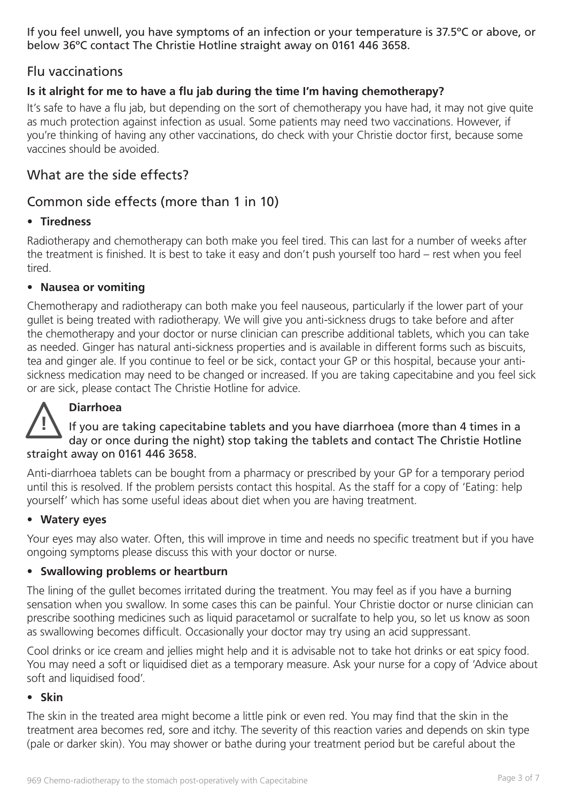If you feel unwell, you have symptoms of an infection or your temperature is 37.5ºC or above, or below 36ºC contact The Christie Hotline straight away on 0161 446 3658.

# Flu vaccinations

### **Is it alright for me to have a flu jab during the time I'm having chemotherapy?**

It's safe to have a flu jab, but depending on the sort of chemotherapy you have had, it may not give quite as much protection against infection as usual. Some patients may need two vaccinations. However, if you're thinking of having any other vaccinations, do check with your Christie doctor first, because some vaccines should be avoided.

# What are the side effects?

### Common side effects (more than 1 in 10)

#### • **Tiredness**

Radiotherapy and chemotherapy can both make you feel tired. This can last for a number of weeks after the treatment is finished. It is best to take it easy and don't push yourself too hard – rest when you feel tired.

#### • **Nausea or vomiting**

Chemotherapy and radiotherapy can both make you feel nauseous, particularly if the lower part of your gullet is being treated with radiotherapy. We will give you anti-sickness drugs to take before and after the chemotherapy and your doctor or nurse clinician can prescribe additional tablets, which you can take as needed. Ginger has natural anti-sickness properties and is available in different forms such as biscuits, tea and ginger ale. If you continue to feel or be sick, contact your GP or this hospital, because your antisickness medication may need to be changed or increased. If you are taking capecitabine and you feel sick or are sick, please contact The Christie Hotline for advice.

# **Diarrhoea**

**!** If you are taking capecitabine tablets and you have diarrhoea (more than 4 times in a day or once during the night) stop taking the tablets and contact The Christie Hotline straight away on 0161 446 3658.

Anti-diarrhoea tablets can be bought from a pharmacy or prescribed by your GP for a temporary period until this is resolved. If the problem persists contact this hospital. As the staff for a copy of 'Eating: help yourself' which has some useful ideas about diet when you are having treatment.

#### • **Watery eyes**

Your eyes may also water. Often, this will improve in time and needs no specific treatment but if you have ongoing symptoms please discuss this with your doctor or nurse.

#### • **Swallowing problems or heartburn**

The lining of the gullet becomes irritated during the treatment. You may feel as if you have a burning sensation when you swallow. In some cases this can be painful. Your Christie doctor or nurse clinician can prescribe soothing medicines such as liquid paracetamol or sucralfate to help you, so let us know as soon as swallowing becomes difficult. Occasionally your doctor may try using an acid suppressant.

Cool drinks or ice cream and jellies might help and it is advisable not to take hot drinks or eat spicy food. You may need a soft or liquidised diet as a temporary measure. Ask your nurse for a copy of 'Advice about soft and liquidised food'.

#### • **Skin**

The skin in the treated area might become a little pink or even red. You may find that the skin in the treatment area becomes red, sore and itchy. The severity of this reaction varies and depends on skin type (pale or darker skin). You may shower or bathe during your treatment period but be careful about the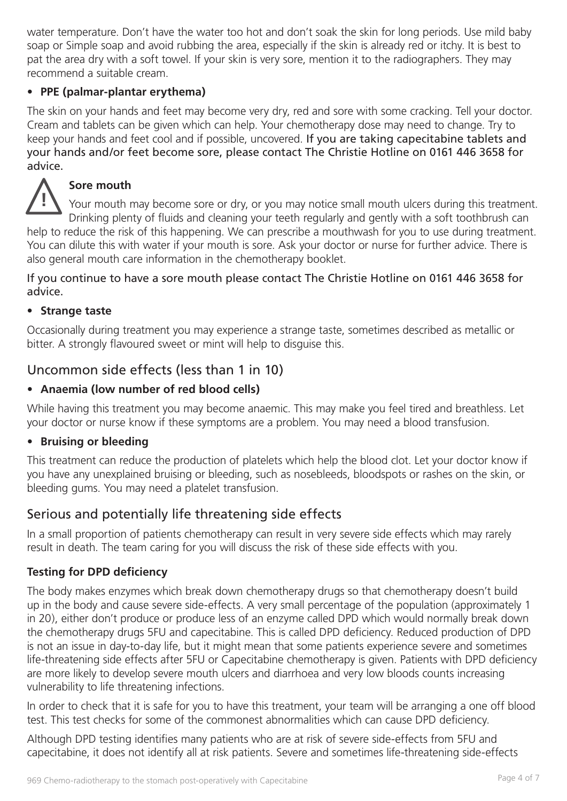water temperature. Don't have the water too hot and don't soak the skin for long periods. Use mild baby soap or Simple soap and avoid rubbing the area, especially if the skin is already red or itchy. It is best to pat the area dry with a soft towel. If your skin is very sore, mention it to the radiographers. They may recommend a suitable cream.

#### • **PPE (palmar-plantar erythema)**

The skin on your hands and feet may become very dry, red and sore with some cracking. Tell your doctor. Cream and tablets can be given which can help. Your chemotherapy dose may need to change. Try to keep your hands and feet cool and if possible, uncovered. If you are taking capecitabine tablets and your hands and/or feet become sore, please contact The Christie Hotline on 0161 446 3658 for advice.



#### **Sore mouth**

Your mouth may become sore or dry, or you may notice small mouth ulcers during this treatment. Drinking plenty of fluids and cleaning your teeth regularly and gently with a soft toothbrush can help to reduce the risk of this happening. We can prescribe a mouthwash for you to use during treatment. You can dilute this with water if your mouth is sore. Ask your doctor or nurse for further advice. There is also general mouth care information in the chemotherapy booklet.

If you continue to have a sore mouth please contact The Christie Hotline on 0161 446 3658 for advice.

#### • **Strange taste**

Occasionally during treatment you may experience a strange taste, sometimes described as metallic or bitter. A strongly flavoured sweet or mint will help to disguise this.

# Uncommon side effects (less than 1 in 10)

#### • **Anaemia (low number of red blood cells)**

While having this treatment you may become anaemic. This may make you feel tired and breathless. Let your doctor or nurse know if these symptoms are a problem. You may need a blood transfusion.

#### • **Bruising or bleeding**

This treatment can reduce the production of platelets which help the blood clot. Let your doctor know if you have any unexplained bruising or bleeding, such as nosebleeds, bloodspots or rashes on the skin, or bleeding gums. You may need a platelet transfusion.

# Serious and potentially life threatening side effects

In a small proportion of patients chemotherapy can result in very severe side effects which may rarely result in death. The team caring for you will discuss the risk of these side effects with you.

#### **Testing for DPD deficiency**

The body makes enzymes which break down chemotherapy drugs so that chemotherapy doesn't build up in the body and cause severe side-effects. A very small percentage of the population (approximately 1 in 20), either don't produce or produce less of an enzyme called DPD which would normally break down the chemotherapy drugs 5FU and capecitabine. This is called DPD deficiency. Reduced production of DPD is not an issue in day-to-day life, but it might mean that some patients experience severe and sometimes life-threatening side effects after 5FU or Capecitabine chemotherapy is given. Patients with DPD deficiency are more likely to develop severe mouth ulcers and diarrhoea and very low bloods counts increasing vulnerability to life threatening infections.

In order to check that it is safe for you to have this treatment, your team will be arranging a one off blood test. This test checks for some of the commonest abnormalities which can cause DPD deficiency.

Although DPD testing identifies many patients who are at risk of severe side-effects from 5FU and capecitabine, it does not identify all at risk patients. Severe and sometimes life-threatening side-effects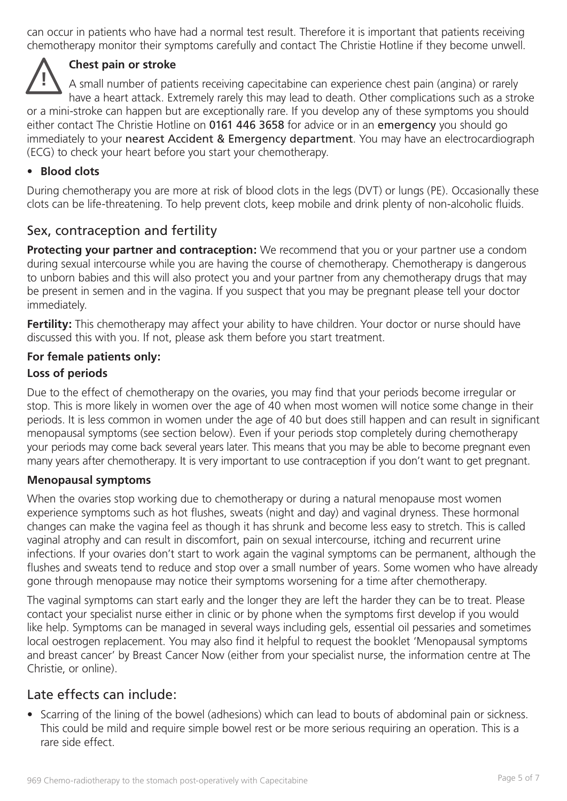can occur in patients who have had a normal test result. Therefore it is important that patients receiving chemotherapy monitor their symptoms carefully and contact The Christie Hotline if they become unwell.

#### **Chest pain or stroke**

**!** A small number of patients receiving capecitabine can experience chest pain (angina) or rarely have a heart attack. Extremely rarely this may lead to death. Other complications such as a stroke or a mini-stroke can happen but are exceptionally rare. If you develop any of these symptoms you should either contact The Christie Hotline on 0161 446 3658 for advice or in an emergency you should go immediately to your nearest Accident & Emergency department. You may have an electrocardiograph (ECG) to check your heart before you start your chemotherapy.

#### • **Blood clots**

During chemotherapy you are more at risk of blood clots in the legs (DVT) or lungs (PE). Occasionally these clots can be life-threatening. To help prevent clots, keep mobile and drink plenty of non-alcoholic fluids.

# Sex, contraception and fertility

**Protecting your partner and contraception:** We recommend that you or your partner use a condom during sexual intercourse while you are having the course of chemotherapy. Chemotherapy is dangerous to unborn babies and this will also protect you and your partner from any chemotherapy drugs that may be present in semen and in the vagina. If you suspect that you may be pregnant please tell your doctor immediately.

**Fertility:** This chemotherapy may affect your ability to have children. Your doctor or nurse should have discussed this with you. If not, please ask them before you start treatment.

#### **For female patients only:**

#### **Loss of periods**

Due to the effect of chemotherapy on the ovaries, you may find that your periods become irregular or stop. This is more likely in women over the age of 40 when most women will notice some change in their periods. It is less common in women under the age of 40 but does still happen and can result in significant menopausal symptoms (see section below). Even if your periods stop completely during chemotherapy your periods may come back several years later. This means that you may be able to become pregnant even many years after chemotherapy. It is very important to use contraception if you don't want to get pregnant.

#### **Menopausal symptoms**

When the ovaries stop working due to chemotherapy or during a natural menopause most women experience symptoms such as hot flushes, sweats (night and day) and vaginal dryness. These hormonal changes can make the vagina feel as though it has shrunk and become less easy to stretch. This is called vaginal atrophy and can result in discomfort, pain on sexual intercourse, itching and recurrent urine infections. If your ovaries don't start to work again the vaginal symptoms can be permanent, although the flushes and sweats tend to reduce and stop over a small number of years. Some women who have already gone through menopause may notice their symptoms worsening for a time after chemotherapy.

The vaginal symptoms can start early and the longer they are left the harder they can be to treat. Please contact your specialist nurse either in clinic or by phone when the symptoms first develop if you would like help. Symptoms can be managed in several ways including gels, essential oil pessaries and sometimes local oestrogen replacement. You may also find it helpful to request the booklet 'Menopausal symptoms and breast cancer' by Breast Cancer Now (either from your specialist nurse, the information centre at The Christie, or online).

### Late effects can include:

• Scarring of the lining of the bowel (adhesions) which can lead to bouts of abdominal pain or sickness. This could be mild and require simple bowel rest or be more serious requiring an operation. This is a rare side effect.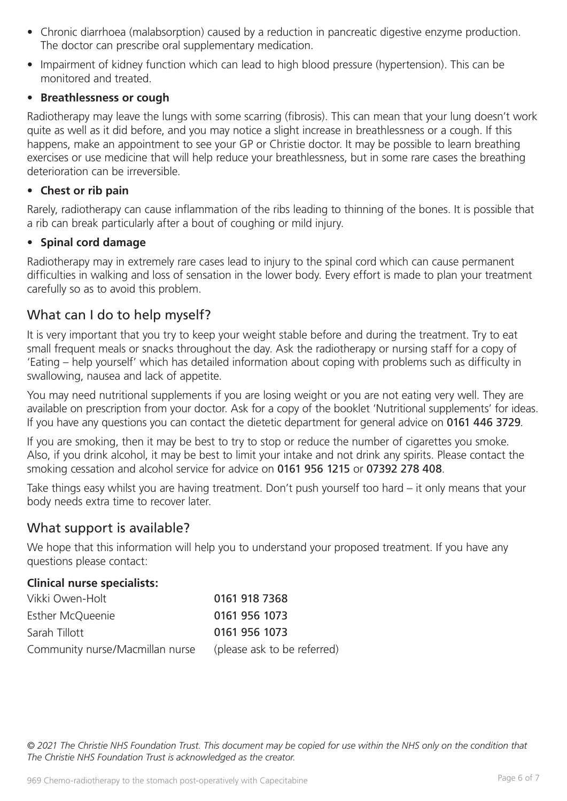- Chronic diarrhoea (malabsorption) caused by a reduction in pancreatic digestive enzyme production. The doctor can prescribe oral supplementary medication.
- Impairment of kidney function which can lead to high blood pressure (hypertension). This can be monitored and treated.

#### • **Breathlessness or cough**

Radiotherapy may leave the lungs with some scarring (fibrosis). This can mean that your lung doesn't work quite as well as it did before, and you may notice a slight increase in breathlessness or a cough. If this happens, make an appointment to see your GP or Christie doctor. It may be possible to learn breathing exercises or use medicine that will help reduce your breathlessness, but in some rare cases the breathing deterioration can be irreversible.

#### • **Chest or rib pain**

Rarely, radiotherapy can cause inflammation of the ribs leading to thinning of the bones. It is possible that a rib can break particularly after a bout of coughing or mild injury.

#### • **Spinal cord damage**

Radiotherapy may in extremely rare cases lead to injury to the spinal cord which can cause permanent difficulties in walking and loss of sensation in the lower body. Every effort is made to plan your treatment carefully so as to avoid this problem.

# What can I do to help myself?

It is very important that you try to keep your weight stable before and during the treatment. Try to eat small frequent meals or snacks throughout the day. Ask the radiotherapy or nursing staff for a copy of 'Eating – help yourself' which has detailed information about coping with problems such as difficulty in swallowing, nausea and lack of appetite.

You may need nutritional supplements if you are losing weight or you are not eating very well. They are available on prescription from your doctor. Ask for a copy of the booklet 'Nutritional supplements' for ideas. If you have any questions you can contact the dietetic department for general advice on 0161 446 3729.

If you are smoking, then it may be best to try to stop or reduce the number of cigarettes you smoke. Also, if you drink alcohol, it may be best to limit your intake and not drink any spirits. Please contact the smoking cessation and alcohol service for advice on 0161 956 1215 or 07392 278 408.

Take things easy whilst you are having treatment. Don't push yourself too hard – it only means that your body needs extra time to recover later.

# What support is available?

We hope that this information will help you to understand your proposed treatment. If you have any questions please contact:

#### **Clinical nurse specialists:**

| Vikki Owen-Holt                 | 0161 918 7368               |
|---------------------------------|-----------------------------|
| Esther McQueenie                | 0161 956 1073               |
| Sarah Tillott                   | 0161 956 1073               |
| Community nurse/Macmillan nurse | (please ask to be referred) |

*© 2021 The Christie NHS Foundation Trust. This document may be copied for use within the NHS only on the condition that The Christie NHS Foundation Trust is acknowledged as the creator.*